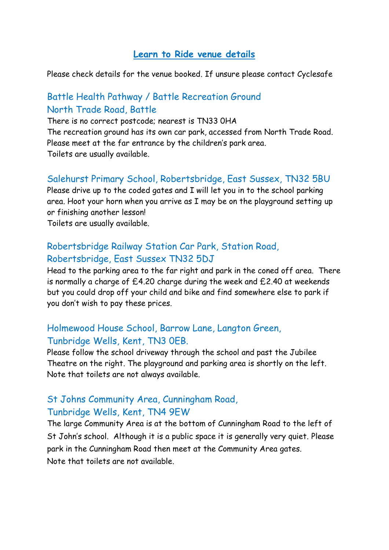#### **Learn to Ride venue details**

Please check details for the venue booked. If unsure please contact Cyclesafe

## Battle Health Pathway / Battle Recreation Ground North Trade Road, Battle

There is no correct postcode; nearest is TN33 0HA The recreation ground has its own car park, accessed from North Trade Road. Please meet at the far entrance by the children's park area. Toilets are usually available.

#### Salehurst Primary School, Robertsbridge, East Sussex, TN32 5BU

Please drive up to the coded gates and I will let you in to the school parking area. Hoot your horn when you arrive as I may be on the playground setting up or finishing another lesson!

Toilets are usually available.

### Robertsbridge Railway Station Car Park, Station Road, Robertsbridge, East Sussex TN32 5DJ

Head to the parking area to the far right and park in the coned off area. There is normally a charge of £4.20 charge during the week and £2.40 at weekends but you could drop off your child and bike and find somewhere else to park if you don't wish to pay these prices.

## Holmewood House School, Barrow Lane, Langton Green, Tunbridge Wells, Kent, TN3 0EB.

Please follow the school driveway through the school and past the Jubilee Theatre on the right. The playground and parking area is shortly on the left. Note that toilets are not always available.

### St Johns Community Area, Cunningham Road, Tunbridge Wells, Kent, TN4 9EW

The large Community Area is at the bottom of Cunningham Road to the left of St John's school. Although it is a public space it is generally very quiet. Please park in the Cunningham Road then meet at the Community Area gates. Note that toilets are not available.